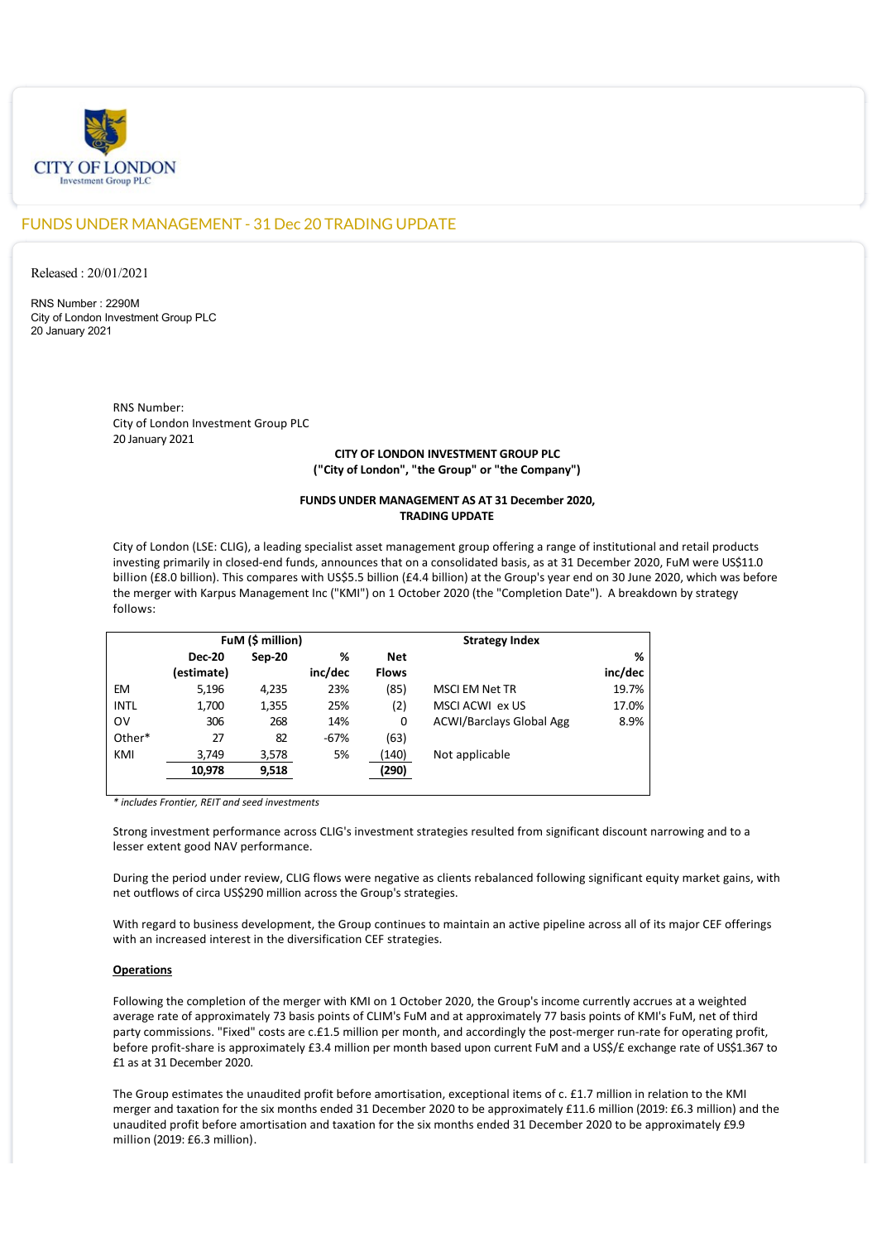

# FUNDS UNDER MANAGEMENT - 31 Dec 20 TRADING UPDATE

Released : 20/01/2021

RNS Number : 2290M City of London Investment Group PLC 20 January 2021

> RNS Number: City of London Investment Group PLC 20 January 2021

# **CITY OF LONDON INVESTMENT GROUP PLC ("City of London", "the Group" or "the Company")**

## **FUNDS UNDER MANAGEMENT AS AT 31 December 2020, TRADING UPDATE**

City of London (LSE: CLIG), a leading specialist asset management group offering a range of institutional and retail products investing primarily in closed-end funds, announces that on a consolidated basis, as at 31 December 2020, FuM were US\$11.0 billion (£8.0 billion). This compares with US\$5.5 billion (£4.4 billion) at the Group's year end on 30 June 2020, which was before the merger with Karpus Management Inc ("KMI") on 1 October 2020 (the "Completion Date"). A breakdown by strategy follows:

|             | FuM (\$ million) |        |         | <b>Strategy Index</b> |                                 |         |
|-------------|------------------|--------|---------|-----------------------|---------------------------------|---------|
|             | <b>Dec-20</b>    | Sep-20 | %       | <b>Net</b>            |                                 | %       |
|             | (estimate)       |        | inc/dec | <b>Flows</b>          |                                 | inc/dec |
| <b>EM</b>   | 5,196            | 4,235  | 23%     | (85)                  | <b>MSCI EM Net TR</b>           | 19.7%   |
| <b>INTL</b> | 1,700            | 1,355  | 25%     | (2)                   | MSCI ACWI ex US                 | 17.0%   |
| ov          | 306              | 268    | 14%     | 0                     | <b>ACWI/Barclays Global Agg</b> | 8.9%    |
| Other*      | 27               | 82     | $-67%$  | (63)                  |                                 |         |
| KMI         | 3,749            | 3,578  | 5%      | (140)                 | Not applicable                  |         |
|             | 10,978           | 9,518  |         | (290)                 |                                 |         |
|             |                  |        |         |                       |                                 |         |

*\* includes Frontier, REIT and seed investments*

Strong investment performance across CLIG's investment strategies resulted from significant discount narrowing and to a lesser extent good NAV performance.

During the period under review, CLIG flows were negative as clients rebalanced following significant equity market gains, with net outflows of circa US\$290 million across the Group's strategies.

With regard to business development, the Group continues to maintain an active pipeline across all of its major CEF offerings with an increased interest in the diversification CEF strategies.

# **Operations**

Following the completion of the merger with KMI on 1 October 2020, the Group's income currently accrues at a weighted average rate of approximately 73 basis points of CLIM's FuM and at approximately 77 basis points of KMI's FuM, net of third party commissions. "Fixed" costs are c.£1.5 million per month, and accordingly the post-merger run-rate for operating profit, before profit-share is approximately £3.4 million per month based upon current FuM and a US\$/£ exchange rate of US\$1.367 to £1 as at 31 December 2020.

The Group estimates the unaudited profit before amortisation, exceptional items of c. £1.7 million in relation to the KMI merger and taxation for the six months ended 31 December 2020 to be approximately £11.6 million (2019: £6.3 million) and the unaudited profit before amortisation and taxation for the six months ended 31 December 2020 to be approximately £9.9 million (2019: £6.3 million).